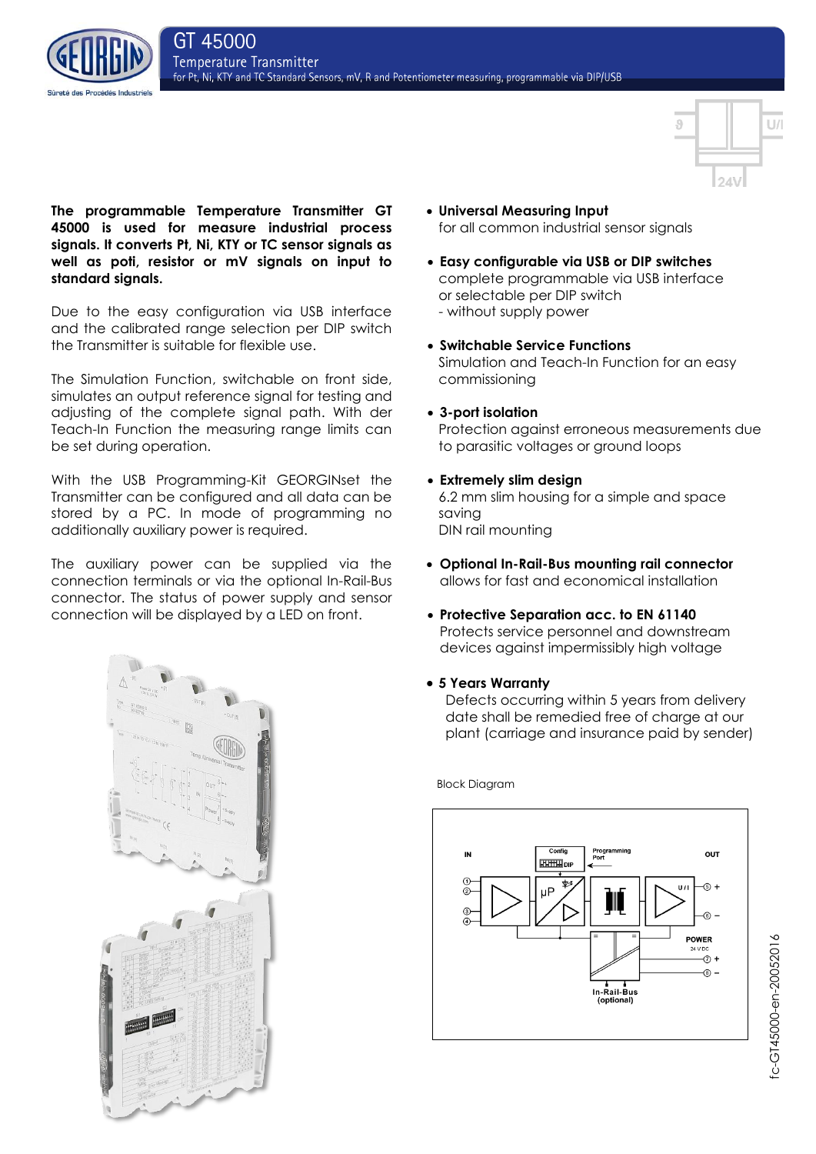



**The programmable Temperature Transmitter GT 45000 is used for measure industrial process signals. It converts Pt, Ni, KTY or TC sensor signals as well as poti, resistor or mV signals on input to standard signals.**

Due to the easy configuration via USB interface and the calibrated range selection per DIP switch the Transmitter is suitable for flexible use.

The Simulation Function, switchable on front side, simulates an output reference signal for testing and adjusting of the complete signal path. With der Teach-In Function the measuring range limits can be set during operation.

With the USB Programming-Kit GEORGINset the Transmitter can be configured and all data can be stored by a PC. In mode of programming no additionally auxiliary power is required.

The auxiliary power can be supplied via the connection terminals or via the optional In-Rail-Bus connector. The status of power supply and sensor connection will be displayed by a LED on front.



- **Universal Measuring Input** for all common industrial sensor signals
- **Easy configurable via USB or DIP switches** complete programmable via USB interface or selectable per DIP switch - without supply power
- **Switchable Service Functions** Simulation and Teach-In Function for an easy commissioning
- **3-port isolation** Protection against erroneous measurements due to parasitic voltages or ground loops
- **Extremely slim design** 6.2 mm slim housing for a simple and space saving DIN rail mounting
- **Optional In-Rail-Bus mounting rail connector** allows for fast and economical installation
- **Protective Separation acc. to EN 61140** Protects service personnel and downstream devices against impermissibly high voltage
- **5 Years Warranty**

Defects occurring within 5 years from delivery date shall be remedied free of charge at our plant (carriage and insurance paid by sender)



Block Diagram